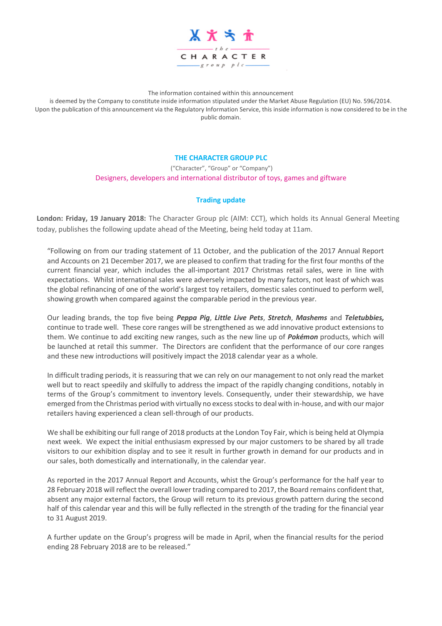

The information contained within this announcement

is deemed by the Company to constitute inside information stipulated under the Market Abuse Regulation (EU) No. 596/2014. Upon the publication of this announcement via the Regulatory Information Service, this inside information is now considered to be in the public domain.

## **THE CHARACTER GROUP PLC**

("Character", "Group" or "Company") Designers, developers and international distributor of toys, games and giftware

## **Trading update**

**London: Friday, 19 January 2018:** The Character Group plc (AIM: CCT), which holds its Annual General Meeting today, publishes the following update ahead of the Meeting, being held today at 11am.

"Following on from our trading statement of 11 October, and the publication of the 2017 Annual Report and Accounts on 21 December 2017, we are pleased to confirm that trading for the first four months of the current financial year, which includes the all-important 2017 Christmas retail sales, were in line with expectations. Whilst international sales were adversely impacted by many factors, not least of which was the global refinancing of one of the world's largest toy retailers, domestic sales continued to perform well, showing growth when compared against the comparable period in the previous year.

Our leading brands, the top five being *Peppa Pig*, *Little Live Pets*, *Stretch*, *Mashems* and *Teletubbies,* continue to trade well. These core ranges will be strengthened as we add innovative product extensions to them. We continue to add exciting new ranges, such as the new line up of *Pokémon* products, which will be launched at retail this summer. The Directors are confident that the performance of our core ranges and these new introductions will positively impact the 2018 calendar year as a whole.

In difficult trading periods, it is reassuring that we can rely on our management to not only read the market well but to react speedily and skilfully to address the impact of the rapidly changing conditions, notably in terms of the Group's commitment to inventory levels. Consequently, under their stewardship, we have emerged from the Christmas period with virtually no excess stocks to deal with in-house, and with our major retailers having experienced a clean sell-through of our products.

We shall be exhibiting our full range of 2018 products at the London Toy Fair, which is being held at Olympia next week. We expect the initial enthusiasm expressed by our major customers to be shared by all trade visitors to our exhibition display and to see it result in further growth in demand for our products and in our sales, both domestically and internationally, in the calendar year.

As reported in the 2017 Annual Report and Accounts, whist the Group's performance for the half year to 28 February 2018 will reflect the overall lower trading compared to 2017, the Board remains confident that, absent any major external factors, the Group will return to its previous growth pattern during the second half of this calendar year and this will be fully reflected in the strength of the trading for the financial year to 31 August 2019.

A further update on the Group's progress will be made in April, when the financial results for the period ending 28 February 2018 are to be released."